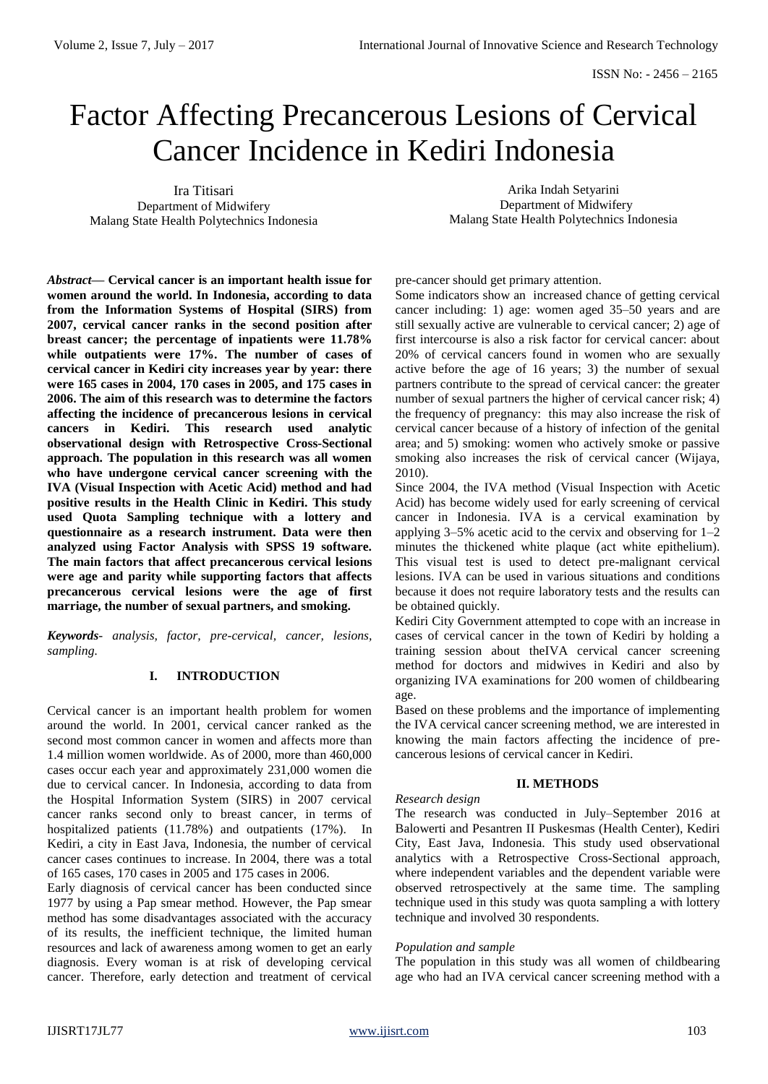# Factor Affecting Precancerous Lesions of Cervical Cancer Incidence in Kediri Indonesia

Ira Titisari Department of Midwifery Malang State Health Polytechnics Indonesia

Arika Indah Setyarini Department of Midwifery Malang State Health Polytechnics Indonesia

*Abstract***— Cervical cancer is an important health issue for women around the world. In Indonesia, according to data from the Information Systems of Hospital (SIRS) from 2007, cervical cancer ranks in the second position after breast cancer; the percentage of inpatients were 11.78% while outpatients were 17%. The number of cases of cervical cancer in Kediri city increases year by year: there were 165 cases in 2004, 170 cases in 2005, and 175 cases in 2006. The aim of this research was to determine the factors affecting the incidence of precancerous lesions in cervical cancers in Kediri. This research used analytic observational design with Retrospective Cross-Sectional approach. The population in this research was all women who have undergone cervical cancer screening with the IVA (Visual Inspection with Acetic Acid) method and had positive results in the Health Clinic in Kediri. This study used Quota Sampling technique with a lottery and questionnaire as a research instrument. Data were then analyzed using Factor Analysis with SPSS 19 software. The main factors that affect precancerous cervical lesions were age and parity while supporting factors that affects precancerous cervical lesions were the age of first marriage, the number of sexual partners, and smoking.** 

*Keywords- analysis, factor, pre-cervical, cancer, lesions, sampling.*

# **I. INTRODUCTION**

Cervical cancer is an important health problem for women around the world. In 2001, cervical cancer ranked as the second most common cancer in women and affects more than 1.4 million women worldwide. As of 2000, more than 460,000 cases occur each year and approximately 231,000 women die due to cervical cancer. In Indonesia, according to data from the Hospital Information System (SIRS) in 2007 cervical cancer ranks second only to breast cancer, in terms of hospitalized patients (11.78%) and outpatients (17%). In Kediri, a city in East Java, Indonesia, the number of cervical cancer cases continues to increase. In 2004, there was a total of 165 cases, 170 cases in 2005 and 175 cases in 2006.

Early diagnosis of cervical cancer has been conducted since 1977 by using a Pap smear method. However, the Pap smear method has some disadvantages associated with the accuracy of its results, the inefficient technique, the limited human resources and lack of awareness among women to get an early diagnosis. Every woman is at risk of developing cervical cancer. Therefore, early detection and treatment of cervical pre-cancer should get primary attention.

Some indicators show an increased chance of getting cervical cancer including: 1) age: women aged 35–50 years and are still sexually active are vulnerable to cervical cancer; 2) age of first intercourse is also a risk factor for cervical cancer: about 20% of cervical cancers found in women who are sexually active before the age of 16 years; 3) the number of sexual partners contribute to the spread of cervical cancer: the greater number of sexual partners the higher of cervical cancer risk; 4) the frequency of pregnancy: this may also increase the risk of cervical cancer because of a history of infection of the genital area; and 5) smoking: women who actively smoke or passive smoking also increases the risk of cervical cancer (Wijaya, 2010).

Since 2004, the IVA method (Visual Inspection with Acetic Acid) has become widely used for early screening of cervical cancer in Indonesia. IVA is a cervical examination by applying 3–5% acetic acid to the cervix and observing for 1–2 minutes the thickened white plaque (act white epithelium). This visual test is used to detect pre-malignant cervical lesions. IVA can be used in various situations and conditions because it does not require laboratory tests and the results can be obtained quickly.

Kediri City Government attempted to cope with an increase in cases of cervical cancer in the town of Kediri by holding a training session about theIVA cervical cancer screening method for doctors and midwives in Kediri and also by organizing IVA examinations for 200 women of childbearing age.

Based on these problems and the importance of implementing the IVA cervical cancer screening method, we are interested in knowing the main factors affecting the incidence of precancerous lesions of cervical cancer in Kediri.

# **II. METHODS**

## The research was conducted in July–September 2016 at Balowerti and Pesantren II Puskesmas (Health Center), Kediri City, East Java, Indonesia. This study used observational analytics with a Retrospective Cross-Sectional approach, where independent variables and the dependent variable were observed retrospectively at the same time. The sampling technique used in this study was quota sampling a with lottery technique and involved 30 respondents.

## *Population and sample*

*Research design*

The population in this study was all women of childbearing age who had an IVA cervical cancer screening method with a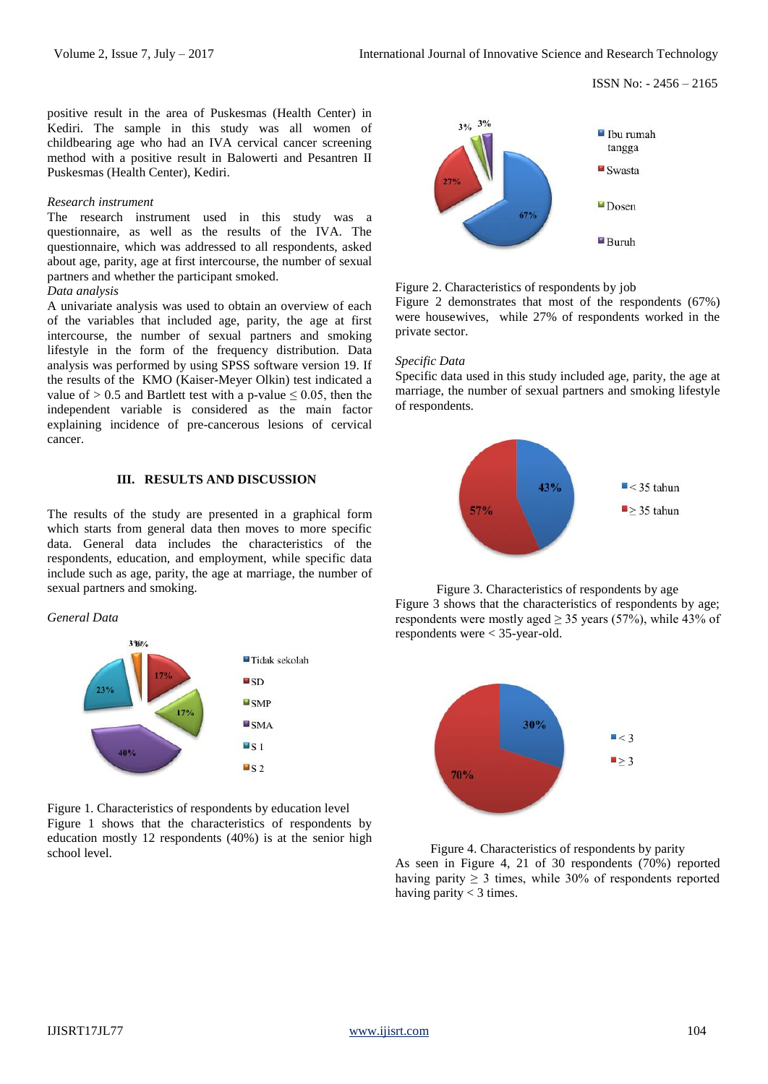positive result in the area of Puskesmas (Health Center) in Kediri. The sample in this study was all women of childbearing age who had an IVA cervical cancer screening method with a positive result in Balowerti and Pesantren II Puskesmas (Health Center), Kediri.

#### *Research instrument*

The research instrument used in this study was a questionnaire, as well as the results of the IVA. The questionnaire, which was addressed to all respondents, asked about age, parity, age at first intercourse, the number of sexual partners and whether the participant smoked.

### *Data analysis*

A univariate analysis was used to obtain an overview of each of the variables that included age, parity, the age at first intercourse, the number of sexual partners and smoking lifestyle in the form of the frequency distribution. Data analysis was performed by using SPSS software version 19. If the results of the KMO (Kaiser-Meyer Olkin) test indicated a value of  $> 0.5$  and Bartlett test with a p-value  $\leq 0.05$ , then the independent variable is considered as the main factor explaining incidence of pre-cancerous lesions of cervical cancer.

#### **III. RESULTS AND DISCUSSION**

The results of the study are presented in a graphical form which starts from general data then moves to more specific data. General data includes the characteristics of the respondents, education, and employment, while specific data include such as age, parity, the age at marriage, the number of sexual partners and smoking.

#### *General Data*



Figure 1. Characteristics of respondents by education level Figure 1 shows that the characteristics of respondents by education mostly 12 respondents (40%) is at the senior high school level.



Figure 2. Characteristics of respondents by job

Figure 2 demonstrates that most of the respondents (67%) were housewives, while 27% of respondents worked in the private sector.

#### *Specific Data*

Specific data used in this study included age, parity, the age at marriage, the number of sexual partners and smoking lifestyle of respondents.



Figure 3. Characteristics of respondents by age Figure 3 shows that the characteristics of respondents by age; respondents were mostly aged  $\geq$  35 years (57%), while 43% of respondents were < 35-year-old.



Figure 4. Characteristics of respondents by parity As seen in Figure 4, 21 of 30 respondents (70%) reported having parity  $\geq 3$  times, while 30% of respondents reported having parity < 3 times.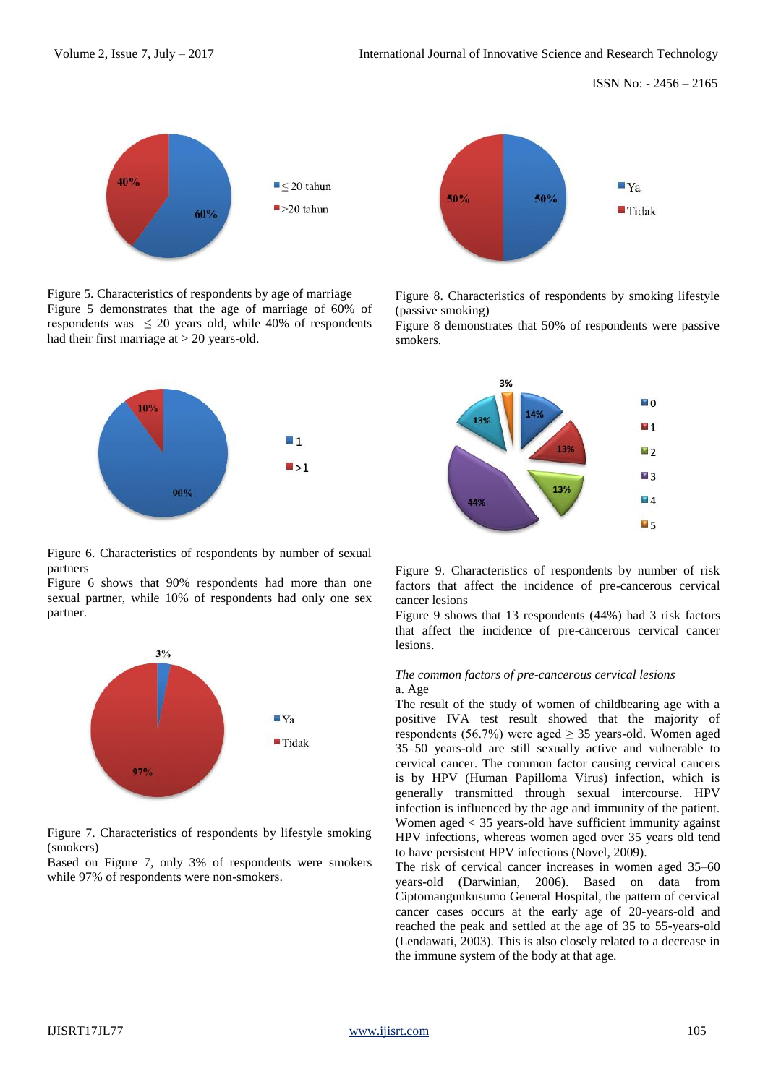ISSN No: - 2456 – 2165



Figure 5. Characteristics of respondents by age of marriage Figure 5 demonstrates that the age of marriage of 60% of respondents was  $\leq$  20 years old, while 40% of respondents had their first marriage at > 20 years-old.



Figure 6. Characteristics of respondents by number of sexual partners

Figure 6 shows that 90% respondents had more than one sexual partner, while 10% of respondents had only one sex partner.



Figure 7. Characteristics of respondents by lifestyle smoking (smokers)

Based on Figure 7, only 3% of respondents were smokers while 97% of respondents were non-smokers.



Figure 8. Characteristics of respondents by smoking lifestyle (passive smoking)

Figure 8 demonstrates that 50% of respondents were passive smokers.



Figure 9. Characteristics of respondents by number of risk factors that affect the incidence of pre-cancerous cervical cancer lesions

Figure 9 shows that 13 respondents (44%) had 3 risk factors that affect the incidence of pre-cancerous cervical cancer lesions.

#### *The common factors of pre-cancerous cervical lesions* a. Age

The result of the study of women of childbearing age with a positive IVA test result showed that the majority of respondents (56.7%) were aged  $\geq$  35 years-old. Women aged 35–50 years-old are still sexually active and vulnerable to cervical cancer. The common factor causing cervical cancers is by HPV (Human Papilloma Virus) infection, which is generally transmitted through sexual intercourse. HPV infection is influenced by the age and immunity of the patient. Women aged < 35 years-old have sufficient immunity against HPV infections, whereas women aged over 35 years old tend to have persistent HPV infections (Novel, 2009).

The risk of cervical cancer increases in women aged 35–60 years-old (Darwinian, 2006). Based on data from Ciptomangunkusumo General Hospital, the pattern of cervical cancer cases occurs at the early age of 20-years-old and reached the peak and settled at the age of 35 to 55-years-old (Lendawati, 2003). This is also closely related to a decrease in the immune system of the body at that age.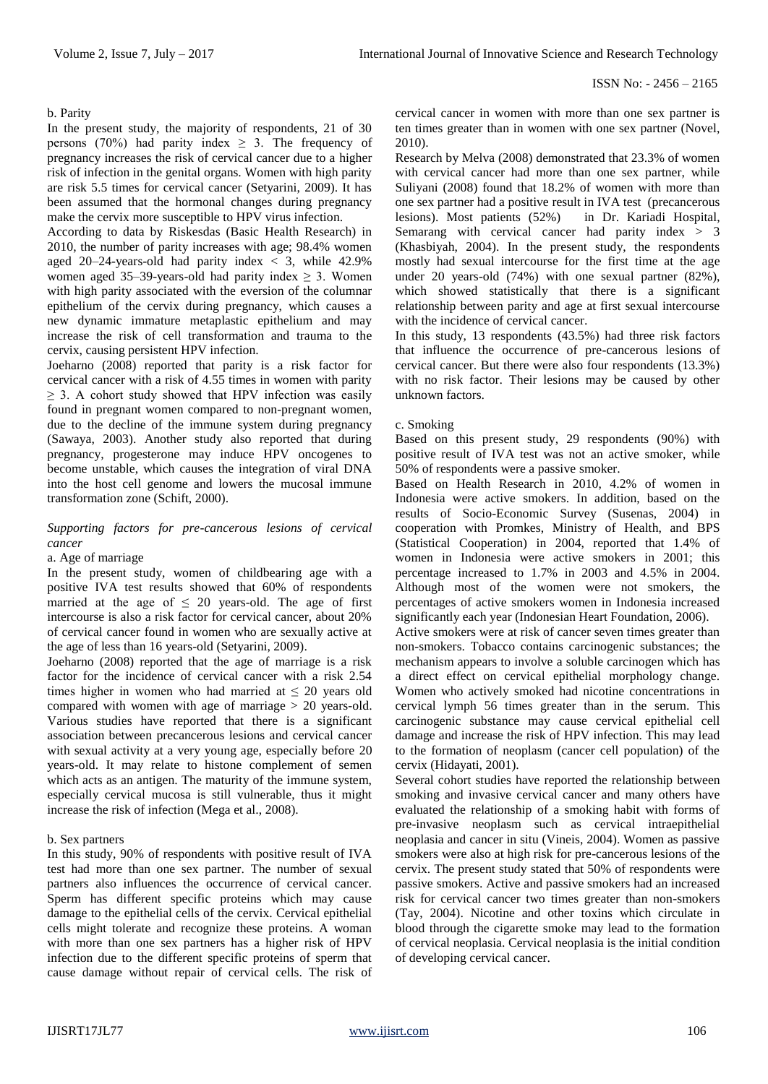#### b. Parity

In the present study, the majority of respondents, 21 of 30 persons (70%) had parity index  $\geq$  3. The frequency of pregnancy increases the risk of cervical cancer due to a higher risk of infection in the genital organs. Women with high parity are risk 5.5 times for cervical cancer (Setyarini, 2009). It has been assumed that the hormonal changes during pregnancy make the cervix more susceptible to HPV virus infection.

According to data by Riskesdas (Basic Health Research) in 2010, the number of parity increases with age; 98.4% women aged 20–24-years-old had parity index  $\langle 3, \text{ while } 42.9\%$ women aged 35–39-years-old had parity index  $\geq$  3. Women with high parity associated with the eversion of the columnar epithelium of the cervix during pregnancy, which causes a new dynamic immature metaplastic epithelium and may increase the risk of cell transformation and trauma to the cervix, causing persistent HPV infection.

Joeharno (2008) reported that parity is a risk factor for cervical cancer with a risk of 4.55 times in women with parity  $\geq$  3. A cohort study showed that HPV infection was easily found in pregnant women compared to non-pregnant women, due to the decline of the immune system during pregnancy (Sawaya, 2003). Another study also reported that during pregnancy, progesterone may induce HPV oncogenes to become unstable, which causes the integration of viral DNA into the host cell genome and lowers the mucosal immune transformation zone (Schift, 2000).

# *Supporting factors for pre-cancerous lesions of cervical cancer*

## a. Age of marriage

In the present study, women of childbearing age with a positive IVA test results showed that 60% of respondents married at the age of  $\leq$  20 years-old. The age of first intercourse is also a risk factor for cervical cancer, about 20% of cervical cancer found in women who are sexually active at the age of less than 16 years-old (Setyarini, 2009).

Joeharno (2008) reported that the age of marriage is a risk factor for the incidence of cervical cancer with a risk 2.54 times higher in women who had married at  $\leq$  20 years old compared with women with age of marriage > 20 years-old. Various studies have reported that there is a significant association between precancerous lesions and cervical cancer with sexual activity at a very young age, especially before 20 years-old. It may relate to histone complement of semen which acts as an antigen. The maturity of the immune system, especially cervical mucosa is still vulnerable, thus it might increase the risk of infection (Mega et al., 2008).

#### b. Sex partners

In this study, 90% of respondents with positive result of IVA test had more than one sex partner. The number of sexual partners also influences the occurrence of cervical cancer. Sperm has different specific proteins which may cause damage to the epithelial cells of the cervix. Cervical epithelial cells might tolerate and recognize these proteins. A woman with more than one sex partners has a higher risk of HPV infection due to the different specific proteins of sperm that cause damage without repair of cervical cells. The risk of cervical cancer in women with more than one sex partner is ten times greater than in women with one sex partner (Novel, 2010).

Research by Melva (2008) demonstrated that 23.3% of women with cervical cancer had more than one sex partner, while Suliyani (2008) found that 18.2% of women with more than one sex partner had a positive result in IVA test (precancerous lesions). Most patients (52%) in Dr. Kariadi Hospital, Semarang with cervical cancer had parity index > 3 (Khasbiyah, 2004). In the present study, the respondents mostly had sexual intercourse for the first time at the age under 20 years-old (74%) with one sexual partner (82%), which showed statistically that there is a significant relationship between parity and age at first sexual intercourse with the incidence of cervical cancer.

In this study, 13 respondents (43.5%) had three risk factors that influence the occurrence of pre-cancerous lesions of cervical cancer. But there were also four respondents (13.3%) with no risk factor. Their lesions may be caused by other unknown factors.

#### c. Smoking

Based on this present study, 29 respondents (90%) with positive result of IVA test was not an active smoker, while 50% of respondents were a passive smoker.

Based on Health Research in 2010, 4.2% of women in Indonesia were active smokers. In addition, based on the results of Socio-Economic Survey (Susenas, 2004) in cooperation with Promkes, Ministry of Health, and BPS (Statistical Cooperation) in 2004, reported that 1.4% of women in Indonesia were active smokers in 2001; this percentage increased to 1.7% in 2003 and 4.5% in 2004. Although most of the women were not smokers, the percentages of active smokers women in Indonesia increased significantly each year (Indonesian Heart Foundation, 2006).

Active smokers were at risk of cancer seven times greater than non-smokers. Tobacco contains carcinogenic substances; the mechanism appears to involve a soluble carcinogen which has a direct effect on cervical epithelial morphology change. Women who actively smoked had nicotine concentrations in cervical lymph 56 times greater than in the serum. This carcinogenic substance may cause cervical epithelial cell damage and increase the risk of HPV infection. This may lead to the formation of neoplasm (cancer cell population) of the cervix (Hidayati, 2001).

Several cohort studies have reported the relationship between smoking and invasive cervical cancer and many others have evaluated the relationship of a smoking habit with forms of pre-invasive neoplasm such as cervical intraepithelial neoplasia and cancer in situ (Vineis, 2004). Women as passive smokers were also at high risk for pre-cancerous lesions of the cervix. The present study stated that 50% of respondents were passive smokers. Active and passive smokers had an increased risk for cervical cancer two times greater than non-smokers (Tay, 2004). Nicotine and other toxins which circulate in blood through the cigarette smoke may lead to the formation of cervical neoplasia. Cervical neoplasia is the initial condition of developing cervical cancer.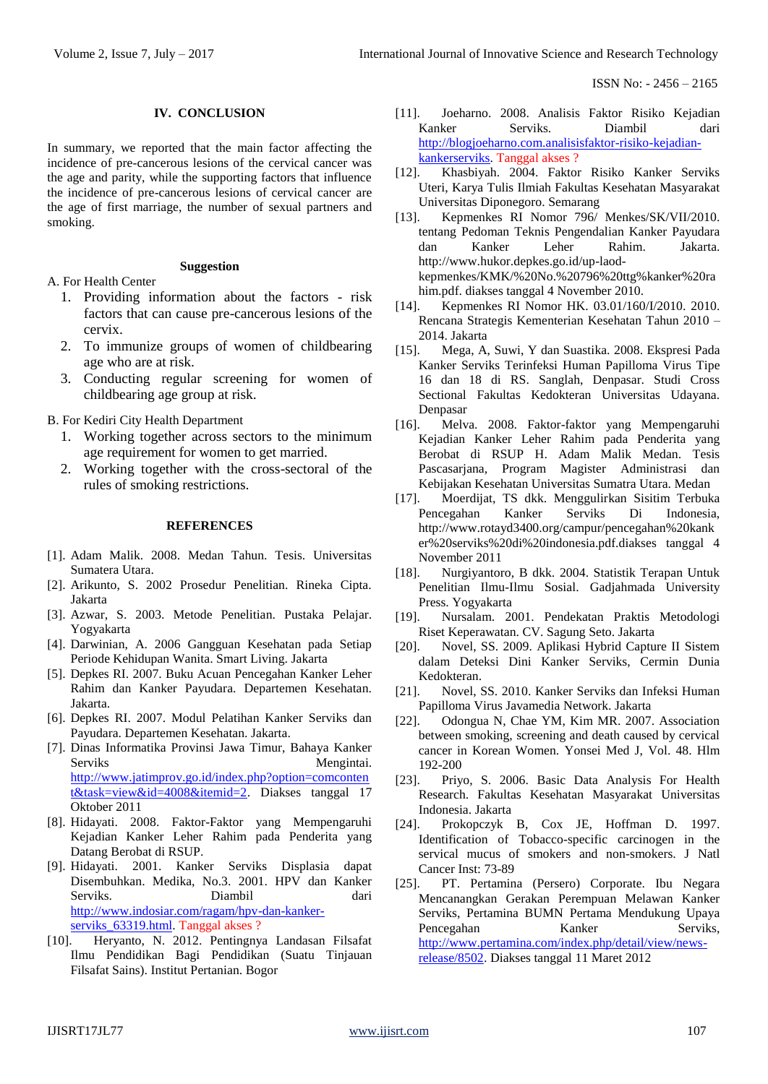# **IV. CONCLUSION**

In summary, we reported that the main factor affecting the incidence of pre-cancerous lesions of the cervical cancer was the age and parity, while the supporting factors that influence the incidence of pre-cancerous lesions of cervical cancer are the age of first marriage, the number of sexual partners and smoking.

#### **Suggestion**

A. For Health Center

- 1. Providing information about the factors risk factors that can cause pre-cancerous lesions of the cervix.
- 2. To immunize groups of women of childbearing age who are at risk.
- 3. Conducting regular screening for women of childbearing age group at risk.

B. For Kediri City Health Department

- 1. Working together across sectors to the minimum age requirement for women to get married.
- 2. Working together with the cross-sectoral of the rules of smoking restrictions.

#### **REFERENCES**

- [1]. Adam Malik. 2008. Medan Tahun. Tesis. Universitas Sumatera Utara.
- [2]. Arikunto, S. 2002 Prosedur Penelitian. Rineka Cipta. Jakarta
- [3]. Azwar, S. 2003. Metode Penelitian. Pustaka Pelajar. Yogyakarta
- [4]. Darwinian, A. 2006 Gangguan Kesehatan pada Setiap Periode Kehidupan Wanita. Smart Living. Jakarta
- [5]. Depkes RI. 2007. Buku Acuan Pencegahan Kanker Leher Rahim dan Kanker Payudara. Departemen Kesehatan. Jakarta.
- [6]. Depkes RI. 2007. Modul Pelatihan Kanker Serviks dan Payudara. Departemen Kesehatan. Jakarta.
- [7]. Dinas Informatika Provinsi Jawa Timur, Bahaya Kanker Serviks Mengintai. [http://www.jatimprov.go.id/index.php?option=comconten](http://www.jatimprov.go.id/index.php?option=comcontent&task=view&id=4008&itemid=2) [t&task=view&id=4008&itemid=2.](http://www.jatimprov.go.id/index.php?option=comcontent&task=view&id=4008&itemid=2) Diakses tanggal 17 Oktober 2011
- [8]. Hidayati. 2008. Faktor-Faktor yang Mempengaruhi Kejadian Kanker Leher Rahim pada Penderita yang Datang Berobat di RSUP.
- [9]. Hidayati. 2001. Kanker Serviks Displasia dapat Disembuhkan. Medika, No.3. 2001. HPV dan Kanker Serviks. Diambil dari [http://www.indosiar.com/ragam/hpv-dan-kanker](http://www.indosiar.com/ragam/hpv-dan-kanker-serviks_63319.html)serviks 63319.html. Tanggal akses ?
- [10]. Heryanto, N. 2012. Pentingnya Landasan Filsafat Ilmu Pendidikan Bagi Pendidikan (Suatu Tinjauan Filsafat Sains). Institut Pertanian. Bogor
- [11]. Joeharno. 2008. Analisis Faktor Risiko Kejadian Kanker Serviks. Diambil dari [http://blogjoeharno.com.analisisfaktor-risiko-kejadian](http://blogjoeharno.com.analisisfaktor-risiko-kejadian-kankerserviks/)[kankerserviks.](http://blogjoeharno.com.analisisfaktor-risiko-kejadian-kankerserviks/) Tanggal akses ?
- [12]. Khasbiyah. 2004. Faktor Risiko Kanker Serviks Uteri, Karya Tulis Ilmiah Fakultas Kesehatan Masyarakat Universitas Diponegoro. Semarang
- [13]. Kepmenkes RI Nomor 796/ Menkes/SK/VII/2010. tentang Pedoman Teknis Pengendalian Kanker Payudara dan Kanker Leher Rahim. Jakarta. http://www.hukor.depkes.go.id/up-laodkepmenkes/KMK/%20No.%20796%20ttg%kanker%20ra him.pdf. diakses tanggal 4 November 2010.
- [14]. Kepmenkes RI Nomor HK. 03.01/160/I/2010. 2010. Rencana Strategis Kementerian Kesehatan Tahun 2010 – 2014. Jakarta
- [15]. Mega, A, Suwi, Y dan Suastika. 2008. Ekspresi Pada Kanker Serviks Terinfeksi Human Papilloma Virus Tipe 16 dan 18 di RS. Sanglah, Denpasar. Studi Cross Sectional Fakultas Kedokteran Universitas Udayana. Denpasar
- [16]. Melva. 2008. Faktor-faktor yang Mempengaruhi Kejadian Kanker Leher Rahim pada Penderita yang Berobat di RSUP H. Adam Malik Medan. Tesis Pascasarjana, Program Magister Administrasi dan Kebijakan Kesehatan Universitas Sumatra Utara. Medan
- [17]. Moerdijat, TS dkk. Menggulirkan Sisitim Terbuka Pencegahan Kanker Serviks Di Indonesia, http://www.rotayd3400.org/campur/pencegahan%20kank er%20serviks%20di%20indonesia.pdf.diakses tanggal 4 November 2011
- [18]. Nurgiyantoro, B dkk. 2004. Statistik Terapan Untuk Penelitian Ilmu-Ilmu Sosial. Gadjahmada University Press. Yogyakarta
- [19]. Nursalam. 2001. Pendekatan Praktis Metodologi Riset Keperawatan. CV. Sagung Seto. Jakarta
- [20]. Novel, SS. 2009. Aplikasi Hybrid Capture II Sistem dalam Deteksi Dini Kanker Serviks, Cermin Dunia Kedokteran.
- [21]. Novel, SS. 2010. Kanker Serviks dan Infeksi Human Papilloma Virus Javamedia Network. Jakarta
- [22]. Odongua N, Chae YM, Kim MR. 2007. Association between smoking, screening and death caused by cervical cancer in Korean Women. Yonsei Med J, Vol. 48. Hlm 192-200
- [23]. Priyo, S. 2006. Basic Data Analysis For Health Research. Fakultas Kesehatan Masyarakat Universitas Indonesia. Jakarta
- [24]. Prokopczyk B, Cox JE, Hoffman D. 1997. Identification of Tobacco-specific carcinogen in the servical mucus of smokers and non-smokers. J Natl Cancer Inst: 73-89
- [25]. PT. Pertamina (Persero) Corporate. Ibu Negara Mencanangkan Gerakan Perempuan Melawan Kanker Serviks, Pertamina BUMN Pertama Mendukung Upaya Pencegahan Kanker Serviks, [http://www.pertamina.com/index.php/detail/view/news](http://www.pertamina.com/index.php/detail/view/news-release/8502)[release/8502.](http://www.pertamina.com/index.php/detail/view/news-release/8502) Diakses tanggal 11 Maret 2012